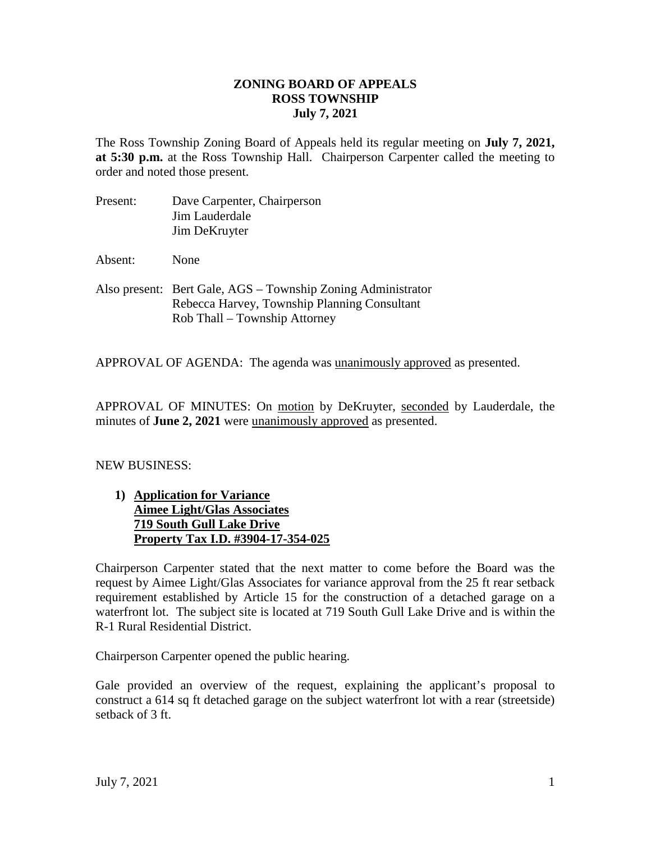### **ZONING BOARD OF APPEALS ROSS TOWNSHIP July 7, 2021**

The Ross Township Zoning Board of Appeals held its regular meeting on **July 7, 2021, at 5:30 p.m.** at the Ross Township Hall. Chairperson Carpenter called the meeting to order and noted those present.

Present: Dave Carpenter, Chairperson Jim Lauderdale Jim DeKruyter

Absent: None

Also present: Bert Gale, AGS – Township Zoning Administrator Rebecca Harvey, Township Planning Consultant Rob Thall – Township Attorney

APPROVAL OF AGENDA: The agenda was unanimously approved as presented.

APPROVAL OF MINUTES: On motion by DeKruyter, seconded by Lauderdale, the minutes of **June 2, 2021** were unanimously approved as presented.

### NEW BUSINESS:

**1) Application for Variance Aimee Light/Glas Associates 719 South Gull Lake Drive Property Tax I.D. #3904-17-354-025**

Chairperson Carpenter stated that the next matter to come before the Board was the request by Aimee Light/Glas Associates for variance approval from the 25 ft rear setback requirement established by Article 15 for the construction of a detached garage on a waterfront lot. The subject site is located at 719 South Gull Lake Drive and is within the R-1 Rural Residential District.

Chairperson Carpenter opened the public hearing.

Gale provided an overview of the request, explaining the applicant's proposal to construct a 614 sq ft detached garage on the subject waterfront lot with a rear (streetside) setback of 3 ft.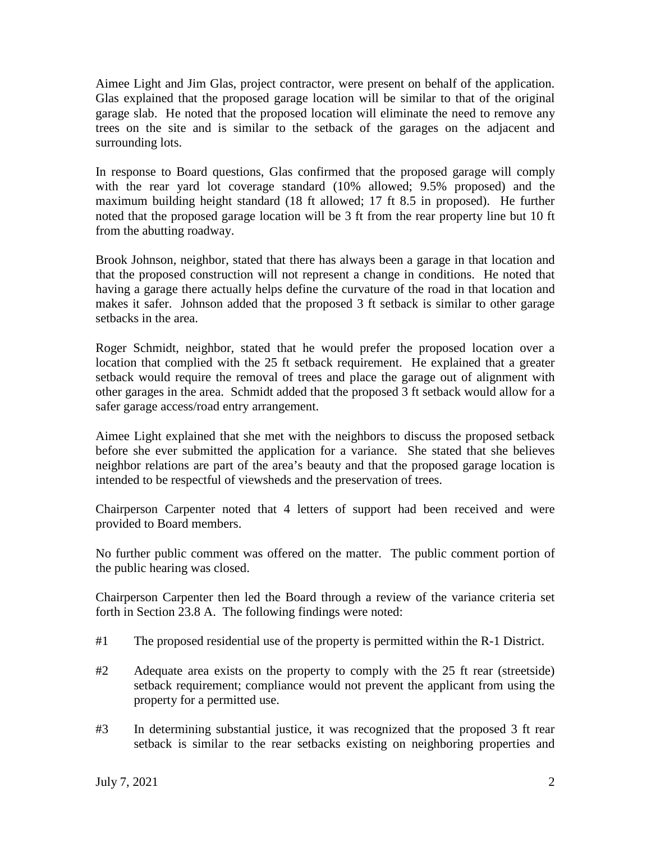Aimee Light and Jim Glas, project contractor, were present on behalf of the application. Glas explained that the proposed garage location will be similar to that of the original garage slab. He noted that the proposed location will eliminate the need to remove any trees on the site and is similar to the setback of the garages on the adjacent and surrounding lots.

In response to Board questions, Glas confirmed that the proposed garage will comply with the rear yard lot coverage standard (10% allowed; 9.5% proposed) and the maximum building height standard (18 ft allowed; 17 ft 8.5 in proposed). He further noted that the proposed garage location will be 3 ft from the rear property line but 10 ft from the abutting roadway.

Brook Johnson, neighbor, stated that there has always been a garage in that location and that the proposed construction will not represent a change in conditions. He noted that having a garage there actually helps define the curvature of the road in that location and makes it safer. Johnson added that the proposed 3 ft setback is similar to other garage setbacks in the area.

Roger Schmidt, neighbor, stated that he would prefer the proposed location over a location that complied with the 25 ft setback requirement. He explained that a greater setback would require the removal of trees and place the garage out of alignment with other garages in the area. Schmidt added that the proposed 3 ft setback would allow for a safer garage access/road entry arrangement.

Aimee Light explained that she met with the neighbors to discuss the proposed setback before she ever submitted the application for a variance. She stated that she believes neighbor relations are part of the area's beauty and that the proposed garage location is intended to be respectful of viewsheds and the preservation of trees.

Chairperson Carpenter noted that 4 letters of support had been received and were provided to Board members.

No further public comment was offered on the matter. The public comment portion of the public hearing was closed.

Chairperson Carpenter then led the Board through a review of the variance criteria set forth in Section 23.8 A. The following findings were noted:

- #1 The proposed residential use of the property is permitted within the R-1 District.
- #2 Adequate area exists on the property to comply with the 25 ft rear (streetside) setback requirement; compliance would not prevent the applicant from using the property for a permitted use.
- #3 In determining substantial justice, it was recognized that the proposed 3 ft rear setback is similar to the rear setbacks existing on neighboring properties and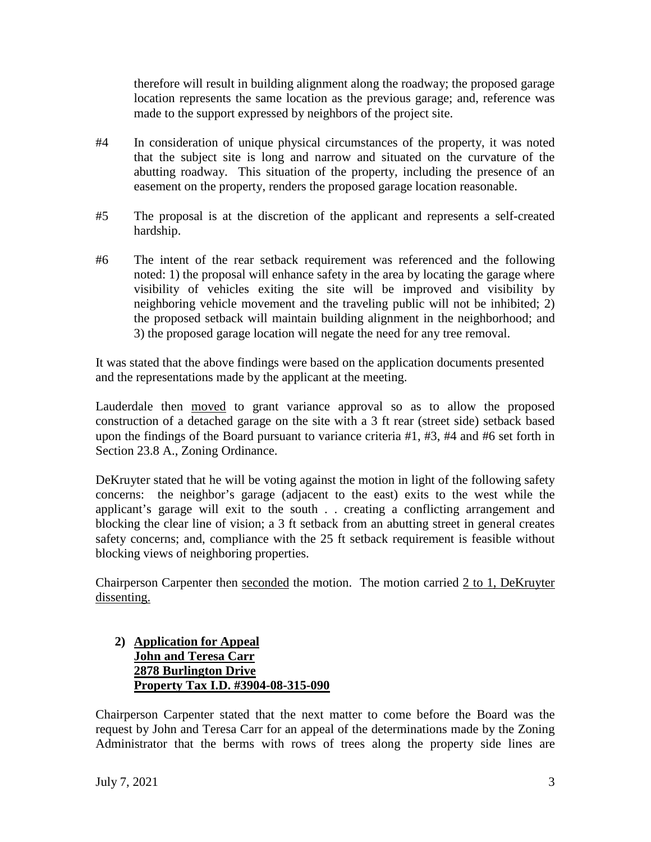therefore will result in building alignment along the roadway; the proposed garage location represents the same location as the previous garage; and, reference was made to the support expressed by neighbors of the project site.

- #4 In consideration of unique physical circumstances of the property, it was noted that the subject site is long and narrow and situated on the curvature of the abutting roadway. This situation of the property, including the presence of an easement on the property, renders the proposed garage location reasonable.
- #5 The proposal is at the discretion of the applicant and represents a self-created hardship.
- #6 The intent of the rear setback requirement was referenced and the following noted: 1) the proposal will enhance safety in the area by locating the garage where visibility of vehicles exiting the site will be improved and visibility by neighboring vehicle movement and the traveling public will not be inhibited; 2) the proposed setback will maintain building alignment in the neighborhood; and 3) the proposed garage location will negate the need for any tree removal.

It was stated that the above findings were based on the application documents presented and the representations made by the applicant at the meeting.

Lauderdale then moved to grant variance approval so as to allow the proposed construction of a detached garage on the site with a 3 ft rear (street side) setback based upon the findings of the Board pursuant to variance criteria #1, #3, #4 and #6 set forth in Section 23.8 A., Zoning Ordinance.

DeKruyter stated that he will be voting against the motion in light of the following safety concerns: the neighbor's garage (adjacent to the east) exits to the west while the applicant's garage will exit to the south . . creating a conflicting arrangement and blocking the clear line of vision; a 3 ft setback from an abutting street in general creates safety concerns; and, compliance with the 25 ft setback requirement is feasible without blocking views of neighboring properties.

Chairperson Carpenter then seconded the motion. The motion carried  $2$  to 1, DeKruyter dissenting.

# **2) Application for Appeal John and Teresa Carr 2878 Burlington Drive Property Tax I.D. #3904-08-315-090**

Chairperson Carpenter stated that the next matter to come before the Board was the request by John and Teresa Carr for an appeal of the determinations made by the Zoning Administrator that the berms with rows of trees along the property side lines are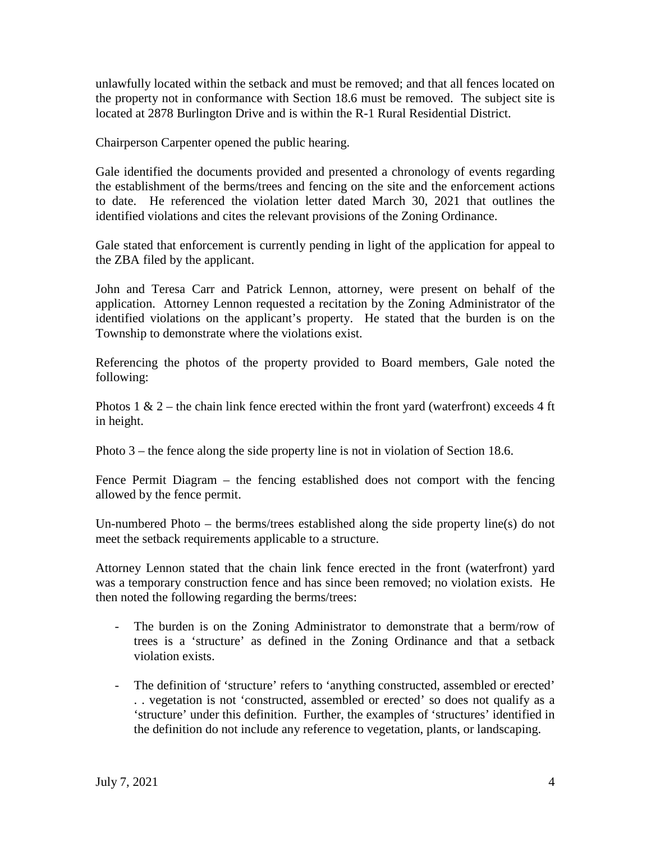unlawfully located within the setback and must be removed; and that all fences located on the property not in conformance with Section 18.6 must be removed. The subject site is located at 2878 Burlington Drive and is within the R-1 Rural Residential District.

Chairperson Carpenter opened the public hearing.

Gale identified the documents provided and presented a chronology of events regarding the establishment of the berms/trees and fencing on the site and the enforcement actions to date. He referenced the violation letter dated March 30, 2021 that outlines the identified violations and cites the relevant provisions of the Zoning Ordinance.

Gale stated that enforcement is currently pending in light of the application for appeal to the ZBA filed by the applicant.

John and Teresa Carr and Patrick Lennon, attorney, were present on behalf of the application. Attorney Lennon requested a recitation by the Zoning Administrator of the identified violations on the applicant's property. He stated that the burden is on the Township to demonstrate where the violations exist.

Referencing the photos of the property provided to Board members, Gale noted the following:

Photos 1 & 2 – the chain link fence erected within the front yard (waterfront) exceeds 4 ft in height.

Photo 3 – the fence along the side property line is not in violation of Section 18.6.

Fence Permit Diagram – the fencing established does not comport with the fencing allowed by the fence permit.

Un-numbered Photo – the berms/trees established along the side property line(s) do not meet the setback requirements applicable to a structure.

Attorney Lennon stated that the chain link fence erected in the front (waterfront) yard was a temporary construction fence and has since been removed; no violation exists. He then noted the following regarding the berms/trees:

- The burden is on the Zoning Administrator to demonstrate that a berm/row of trees is a 'structure' as defined in the Zoning Ordinance and that a setback violation exists.
- The definition of 'structure' refers to 'anything constructed, assembled or erected' . . vegetation is not 'constructed, assembled or erected' so does not qualify as a 'structure' under this definition. Further, the examples of 'structures' identified in the definition do not include any reference to vegetation, plants, or landscaping.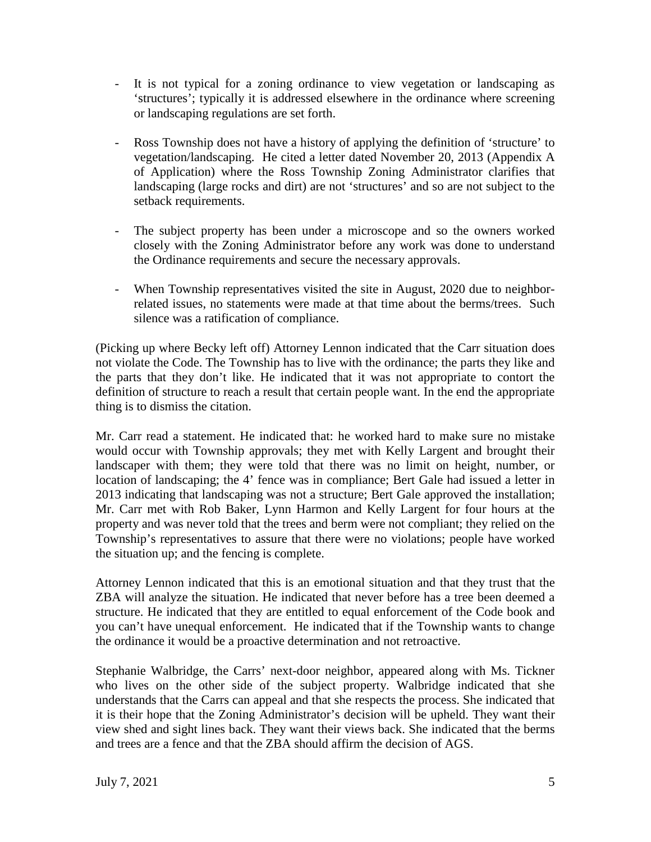- It is not typical for a zoning ordinance to view vegetation or landscaping as 'structures'; typically it is addressed elsewhere in the ordinance where screening or landscaping regulations are set forth.
- Ross Township does not have a history of applying the definition of 'structure' to vegetation/landscaping. He cited a letter dated November 20, 2013 (Appendix A of Application) where the Ross Township Zoning Administrator clarifies that landscaping (large rocks and dirt) are not 'structures' and so are not subject to the setback requirements.
- The subject property has been under a microscope and so the owners worked closely with the Zoning Administrator before any work was done to understand the Ordinance requirements and secure the necessary approvals.
- When Township representatives visited the site in August, 2020 due to neighborrelated issues, no statements were made at that time about the berms/trees. Such silence was a ratification of compliance.

(Picking up where Becky left off) Attorney Lennon indicated that the Carr situation does not violate the Code. The Township has to live with the ordinance; the parts they like and the parts that they don't like. He indicated that it was not appropriate to contort the definition of structure to reach a result that certain people want. In the end the appropriate thing is to dismiss the citation.

Mr. Carr read a statement. He indicated that: he worked hard to make sure no mistake would occur with Township approvals; they met with Kelly Largent and brought their landscaper with them; they were told that there was no limit on height, number, or location of landscaping; the 4' fence was in compliance; Bert Gale had issued a letter in 2013 indicating that landscaping was not a structure; Bert Gale approved the installation; Mr. Carr met with Rob Baker, Lynn Harmon and Kelly Largent for four hours at the property and was never told that the trees and berm were not compliant; they relied on the Township's representatives to assure that there were no violations; people have worked the situation up; and the fencing is complete.

Attorney Lennon indicated that this is an emotional situation and that they trust that the ZBA will analyze the situation. He indicated that never before has a tree been deemed a structure. He indicated that they are entitled to equal enforcement of the Code book and you can't have unequal enforcement. He indicated that if the Township wants to change the ordinance it would be a proactive determination and not retroactive.

Stephanie Walbridge, the Carrs' next-door neighbor, appeared along with Ms. Tickner who lives on the other side of the subject property. Walbridge indicated that she understands that the Carrs can appeal and that she respects the process. She indicated that it is their hope that the Zoning Administrator's decision will be upheld. They want their view shed and sight lines back. They want their views back. She indicated that the berms and trees are a fence and that the ZBA should affirm the decision of AGS.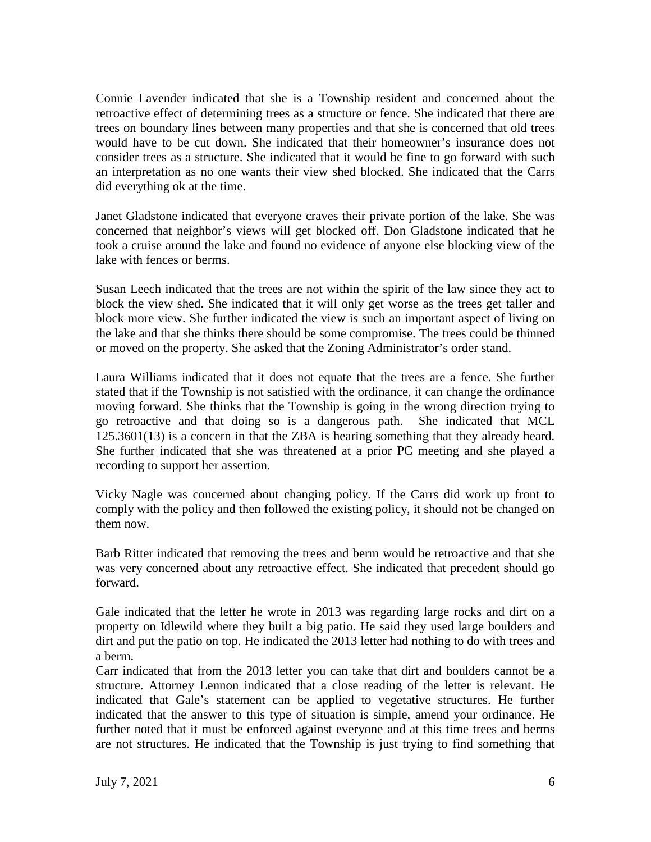Connie Lavender indicated that she is a Township resident and concerned about the retroactive effect of determining trees as a structure or fence. She indicated that there are trees on boundary lines between many properties and that she is concerned that old trees would have to be cut down. She indicated that their homeowner's insurance does not consider trees as a structure. She indicated that it would be fine to go forward with such an interpretation as no one wants their view shed blocked. She indicated that the Carrs did everything ok at the time.

Janet Gladstone indicated that everyone craves their private portion of the lake. She was concerned that neighbor's views will get blocked off. Don Gladstone indicated that he took a cruise around the lake and found no evidence of anyone else blocking view of the lake with fences or berms.

Susan Leech indicated that the trees are not within the spirit of the law since they act to block the view shed. She indicated that it will only get worse as the trees get taller and block more view. She further indicated the view is such an important aspect of living on the lake and that she thinks there should be some compromise. The trees could be thinned or moved on the property. She asked that the Zoning Administrator's order stand.

Laura Williams indicated that it does not equate that the trees are a fence. She further stated that if the Township is not satisfied with the ordinance, it can change the ordinance moving forward. She thinks that the Township is going in the wrong direction trying to go retroactive and that doing so is a dangerous path. She indicated that MCL 125.3601(13) is a concern in that the ZBA is hearing something that they already heard. She further indicated that she was threatened at a prior PC meeting and she played a recording to support her assertion.

Vicky Nagle was concerned about changing policy. If the Carrs did work up front to comply with the policy and then followed the existing policy, it should not be changed on them now.

Barb Ritter indicated that removing the trees and berm would be retroactive and that she was very concerned about any retroactive effect. She indicated that precedent should go forward.

Gale indicated that the letter he wrote in 2013 was regarding large rocks and dirt on a property on Idlewild where they built a big patio. He said they used large boulders and dirt and put the patio on top. He indicated the 2013 letter had nothing to do with trees and a berm.

Carr indicated that from the 2013 letter you can take that dirt and boulders cannot be a structure. Attorney Lennon indicated that a close reading of the letter is relevant. He indicated that Gale's statement can be applied to vegetative structures. He further indicated that the answer to this type of situation is simple, amend your ordinance. He further noted that it must be enforced against everyone and at this time trees and berms are not structures. He indicated that the Township is just trying to find something that